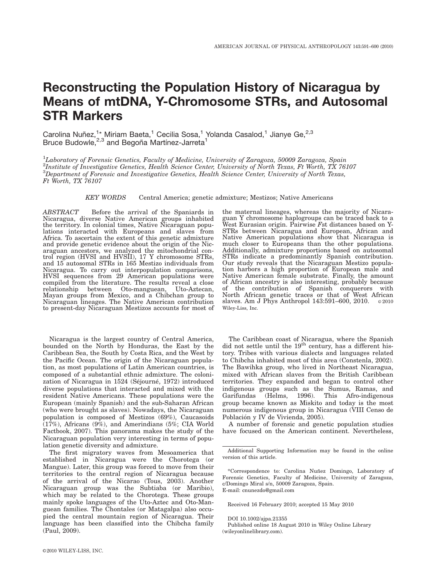# Reconstructing the Population History of Nicaragua by Means of mtDNA, Y-Chromosome STRs, and Autosomal STR Markers

Carolina Nuñez, $1^*$  Miriam Baeta,<sup>1</sup> Cecilia Sosa,<sup>1</sup> Yolanda Casalod,<sup>1</sup> Jianye Ge,<sup>2,3</sup> Bruce Budowle,<sup>2,3</sup> and Begoña Martínez-Jarreta<sup>1</sup>

<sup>1</sup>Laboratory of Forensic Genetics, Faculty of Medicine, University of Zaragoza, 50009 Zaragoza, Spain  $^{2}$ Institute of Investigative Genetics, Health Science Center, University of North Texas, Ft Worth, TX 76107  ${}^{3}$ Department of Forensic and Investigative Genetics, Health Science Center, University of North Texas, Ft Worth, TX 76107

KEY WORDS Central America; genetic admixture; Mestizos; Native Americans

ABSTRACT Before the arrival of the Spaniards in Nicaragua, diverse Native American groups inhabited the territory. In colonial times, Native Nicaraguan populations interacted with Europeans and slaves from Africa. To ascertain the extent of this genetic admixture and provide genetic evidence about the origin of the Nicaraguan ancestors, we analyzed the mitochondrial control region (HVSI and HVSII), 17 Y chromosome STRs, and 15 autosomal STRs in 165 Mestizo individuals from Nicaragua. To carry out interpopulation comparisons, HVSI sequences from 29 American populations were compiled from the literature. The results reveal a close relationship between Oto-manguean, Uto-Aztecan, Mayan groups from Mexico, and a Chibchan group to Nicaraguan lineages. The Native American contribution to present-day Nicaraguan Mestizos accounts for most of

Nicaragua is the largest country of Central America, bounded on the North by Honduras, the East by the Caribbean Sea, the South by Costa Rica, and the West by the Pacific Ocean. The origin of the Nicaraguan population, as most populations of Latin American countries, is composed of a substantial ethnic admixture. The colonization of Nicaragua in 1524 (Séjourné, 1972) introduced diverse populations that interacted and mixed with the resident Native Americans. These populations were the European (mainly Spanish) and the sub-Saharan African (who were brought as slaves). Nowadays, the Nicaraguan population is composed of Mestizos (69%), Caucasoids (17%), Africans (9%), and Amerindians (5%; CIA World Factbook, 2007). This panorama makes the study of the Nicaraguan population very interesting in terms of population genetic diversity and admixture.

The first migratory waves from Mesoamerica that established in Nicaragua were the Chorotega (or Mangue). Later, this group was forced to move from their territories to the central region of Nicaragua because of the arrival of the Nicarao (Tous, 2003). Another Nicaraguan group was the Subtiaba (or Maribio), which may be related to the Chorotega. These groups mainly spoke languages of the Uto-Aztec and Oto-Manguean families. The Chontales (or Matagalpa) also occupied the central mountain region of Nicaragua. Their language has been classified into the Chibcha family (Paul, 2009).

the maternal lineages, whereas the majority of Nicaraguan Y chromosome haplogroups can be traced back to a West Eurasian origin. Pairwise Fst distances based on Y-STRs between Nicaragua and European, African and Native American populations show that Nicaragua is much closer to Europeans than the other populations. Additionally, admixture proportions based on autosomal STRs indicate a predominantly Spanish contribution. Our study reveals that the Nicaraguan Mestizo population harbors a high proportion of European male and Native American female substrate. Finally, the amount of African ancestry is also interesting, probably because of the contribution of Spanish conquerors with North African genetic traces or that of West African slaves. Am J Phys Anthropol 143:591-600, 2010.  $\circ$  2010 Wiley-Liss, Inc.

The Caribbean coast of Nicaragua, where the Spanish did not settle until the 19<sup>th</sup> century, has a different history. Tribes with various dialects and languages related to Chibcha inhabited most of this area (Constenla, 2002). The Bawihka group, who lived in Northeast Nicaragua, mixed with African slaves from the British Caribbean territories. They expanded and began to control other indigenous groups such as the Sumus, Ramas, and Garifundas (Helms, 1996). This Afro-indigenous group became known as Miskito and today is the most numerous indigenous group in Nicaragua (VIII Censo de Población y IV de Vivienda, 2005).

A number of forensic and genetic population studies have focused on the American continent. Nevertheless,

Received 16 February 2010; accepted 15 May 2010

DOI 10.1002/ajpa.21355

Additional Supporting Information may be found in the online version of this article.

<sup>\*</sup>Correspondence to: Carolina Nun˜ ez Domingo, Laboratory of Forensic Genetics, Faculty of Medicine, University of Zaragoza, c/Domingo Miral s/n, 50009 Zaragoza, Spain. E-mail: cnunezdo@gmail.com

Published online 18 August 2010 in Wiley Online Library (wileyonlinelibrary.com).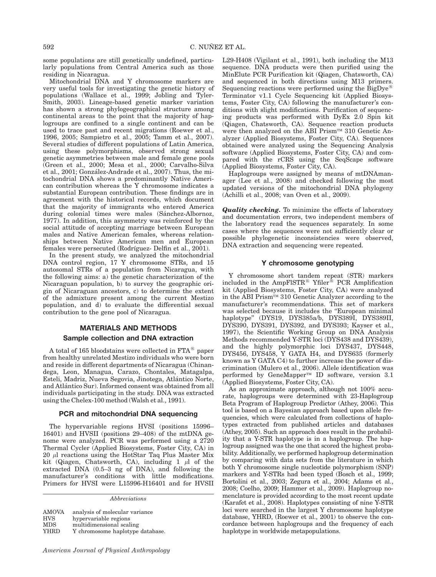some populations are still genetically undefined, particularly populations from Central America such as those residing in Nicaragua.

Mitochondrial DNA and Y chromosome markers are very useful tools for investigating the genetic history of populations (Wallace et al., 1999; Jobling and Tyler-Smith, 2003). Lineage-based genetic marker variation has shown a strong phylogeographical structure among continental areas to the point that the majority of haplogroups are confined to a single continent and can be used to trace past and recent migrations (Roewer et al., 1996, 2005; Sampietro et al., 2005; Tamm et al., 2007). Several studies of different populations of Latin America, using these polymorphisms, observed strong sexual genetic asymmetries between male and female gene pools (Green et al., 2000; Mesa et al., 2000; Carvalho-Silva et al., 2001; González-Andrade et al., 2007). Thus, the mitochondrial DNA shows a predominantly Native American contribution whereas the Y chromosome indicates a substantial European contribution. These findings are in agreement with the historical records, which document that the majority of immigrants who entered America during colonial times were males (Sánchez-Albornoz, 1977). In addition, this asymmetry was reinforced by the social attitude of accepting marriage between European males and Native American females, whereas relationships between Native American men and European females were persecuted (Rodríguez- Delfin et al., 2001).

In the present study, we analyzed the mitochondrial DNA control region, 17 Y chromosome STRs, and 15 autosomal STRs of a population from Nicaragua, with the following aims: a) the genetic characterization of the Nicaraguan population, b) to survey the geographic origin of Nicaraguan ancestors, c) to determine the extent of the admixture present among the current Mestizo population, and d) to evaluate the differential sexual contribution to the gene pool of Nicaragua.

# MATERIALS AND METHODS

#### Sample collection and DNA extraction

A total of 165 bloodstains were collected in  $FTA^{\circledR}$  paper from healthy unrelated Mestizo individuals who were born and reside in different departments of Nicaragua (Chinandega, Leon, Managua, Carazo, Chontales, Matagalpa, Esteli, Madriz, Nueva Segovia, Jinotega, Atlántico Norte, and Atlántico Sur). Informed consent was obtained from all individuals participating in the study. DNA was extracted using the Chelex-100 method (Walsh et al., 1991).

# PCR and mitochondrial DNA sequencing

The hypervariable regions HVSI (positions 15996– 16401) and HVSII (positions 29–408) of the mtDNA genome were analyzed. PCR was performed using a 2720 Thermal Cycler (Applied Biosystems, Foster City, CA) in  $20 \mu l$  reactions using the HotStar Taq Plus Master Mix kit (Qiagen, Chatsworth, CA), including 1  $\mu$ l of the extracted DNA (0.5–3 ng of DNA), and following the manufacturer's conditions with little modifications. Primers for HVSI were L15996-H16401 and for HVSII

Abbreviations

| <b>AMOVA</b> | analysis of molecular variance   |
|--------------|----------------------------------|
| <b>HVS</b>   | hypervariable regions            |
| <b>MDS</b>   | multidimensional scaling         |
| <b>YHRD</b>  | Y chromosome haplotype database. |

(Qiagen, Chatsworth, CA). Sequence reaction products were then analyzed on the ABI Prism™ 310 Genetic Analyzer (Applied Biosystems, Foster City, CA). Sequences obtained were analyzed using the Sequencing Analysis software (Applied Biosystems, Foster City, CA) and compared with the rCRS using the SeqScape software (Applied Biosystems, Foster City, CA). Haplogroups were assigned by means of mtDNAmanager (Lee et al., 2008) and checked following the most updated versions of the mitochondrial DNA phylogeny (Achilli et al., 2008; van Oven et al., 2009). **Quality checking.** To minimize the effects of laboratory and documentation errors, two independent members of the laboratory read the sequences separately. In some cases where the sequences were not sufficiently clear or

### Y chromosome genotyping

possible phylogenetic inconsistencies were observed,

DNA extraction and sequencing were repeated.

L29-H408 (Vigilant et al., 1991), both including the M13 sequence. DNA products were then purified using the MinElute PCR Purification kit (Qiagen, Chatsworth, CA) and sequenced in both directions using M13 primers. Sequencing reactions were performed using the BigDye<sup><sup> $E$ </sup></sup> Terminator v1.1 Cycle Sequencing kit (Applied Biosystems, Foster City, CA) following the manufacturer's conditions with slight modifications. Purification of sequencing products was performed with DyEx 2.0 Spin kit

Y chromosome short tandem repeat (STR) markers included in the AmpFlSTR<sup>®</sup> Yfiler<sup>®</sup> PCR Amplification kit (Applied Biosystems, Foster City, CA) were analyzed in the ABI Prism<sup>TM</sup> 310 Genetic Analyzer according to the manufacturer's recommendations. This set of markers was selected because it includes the ''European minimal haplotype'' (DYS19, DYS385a/b, DYS389I, DYS389II, DYS390, DYS391, DYS392, and DYS393; Kayser et al., 1997), the Scientific Working Group on DNA Analysis Methods recommended Y-STR loci (DYS438 and DYS439), and the highly polymorphic loci DYS437, DYS448, DYS456, DYS458, Y GATA H4, and DYS635 (formerly known as Y GATA C4) to further increase the power of discrimination (Mulero et al., 2006). Allele identification was performed by GeneMapper<sup>TM</sup> ID software, version  $3.1$ (Applied Biosystems, Foster City, CA).

As an approximate approach, although not 100% accurate, haplogroups were determined with 23-Haplogroup Beta Program of Haplogroup Predictor (Athey, 2006). This tool is based on a Bayesian approach based upon allele frequencies, which were calculated from collections of haplotypes extracted from published articles and databases (Athey, 2005). Such an approach does result in the probability that a Y-STR haplotype is in a haplogroup. The haplogroup assigned was the one that scored the highest probability. Additionally, we performed haplogroup determination by comparing with data sets from the literature in which both Y chromosome single nucleotide polymorphism (SNP) markers and Y-STRs had been typed (Bosch et al., 1999; Bortolini et al., 2003; Zegura et al., 2004; Adams et al., 2008; Coelho, 2009; Hammer et al., 2009). Haplogroup nomenclature is provided according to the most recent update (Karafet et al., 2008). Haplotypes consisting of nine Y-STR loci were searched in the largest Y chromosome haplotype database, YHRD, (Roewer et al., 2001) to observe the concordance between haplogroups and the frequency of each haplotype in worldwide metapopulations.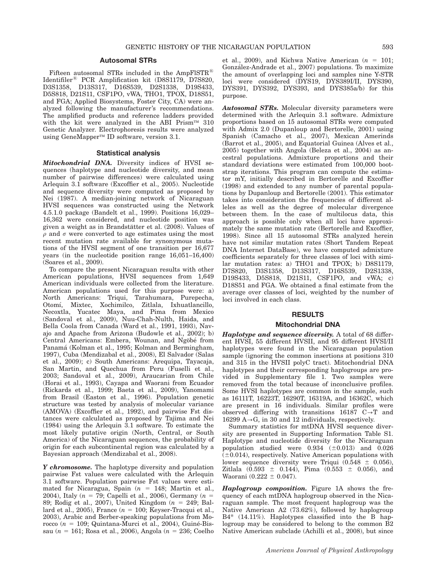# Autosomal STRs

Fifteen autosomal STRs included in the AmpFISTR<sup>®</sup> Identifiler<sup>®</sup> PCR Amplification kit (D8S1179, D7S820, D3S1358, D13S317, D16S539, D2S1338, D19S433, D5S818, D21S11, CSF1PO, vWA, THO1, TPOX, D18S51, and FGA; Applied Biosystems, Foster City, CA) were analyzed following the manufacturer's recommendations. The amplified products and reference ladders provided with the kit were analyzed in the ABI Prism<sup>TM</sup> 310 Genetic Analyzer. Electrophoresis results were analyzed using GeneMapper<sup>TM</sup> ID software, version 3.1.

# Statistical analysis

Mitochondrial DNA. Diversity indices of HVSI sequences (haplotype and nucleotide diversity, and mean number of pairwise differences) were calculated using Arlequin 3.1 software (Excoffier et al., 2005). Nucleotide and sequence diversity were computed as proposed by Nei (1987). A median-joining network of Nicaraguan HVSI sequences was constructed using the Network 4.5.1.0 package (Bandelt et al., 1999). Positions 16,029– 16,362 were considered, and nucleotide position was given a weight as in Brandstätter et al. (2008). Values of  $\rho$  and  $\sigma$  were converted to age estimates using the most recent mutation rate available for synonymous mutations of the HVSI segment of one transition per 16,677 years (in the nucleotide position range 16,051–16,400) (Soares et al., 2009).

To compare the present Nicaraguan results with other American populations, HVSI sequences from 1,649 American individuals were collected from the literature. American populations used for this purpose were: a) North Americans: Triqui, Tarahumara, Purepecha, Otomı´, Mixtec, Xochimilco, Zitlala, Ixhuatlancillo, Necoxtla, Yucatec Maya, and Pima from Mexico (Sandoval et al., 2009), Nuu-Chah-Nulth, Haida, and Bella Coola from Canada (Ward et al., 1991, 1993), Navajo and Apache from Arizona (Budowle et al., 2002); b) Central Americans: Embera, Wounan, and Ngöbé from Panamá (Kolman et al., 1995; Kolman and Bermingham, 1997), Cuba (Mendizabal et al., 2008), El Salvador (Salas et al., 2009); c) South Americans: Arequipa, Tayacaja, San Martin, and Quechua from Peru (Fuselli et al., 2003; Sandoval et al., 2009), Araucarian from Chile (Horai et al., 1993), Cayapa and Waorani from Ecuador (Rickards et al., 1999; Baeta et al., 2009), Yanomami from Brasil (Easton et al., 1996). Population genetic structure was tested by analysis of molecular variance (AMOVA) (Excoffier et al., 1992), and pairwise Fst distances were calculated as proposed by Tajima and Nei (1984) using the Arlequin 3.1 software. To estimate the most likely putative origin (North, Central, or South America) of the Nicaraguan sequences, the probability of origin for each subcontinental region was calculated by a Bayesian approach (Mendizabal et al., 2008).

Y chromosome. The haplotype diversity and population pairwise Fst values were calculated with the Arlequin 3.1 software. Population pairwise Fst values were estimated for Nicaragua, Spain  $(n = 148;$  Martin et al., 2004), Italy ( $n = 79$ ; Capelli et al., 2006), Germany ( $n =$ 89; Rodig et al., 2007), United Kingdom  $(n = 249;$  Ballard et al., 2005), France  $(n = 100;$  Keyser-Tracqui et al., 2003), Arabic and Berber-speaking populations from Morocco ( $n = 109$ ; Quintana-Murci et al., 2004), Guiné-Bissau (n = 161; Rosa et al., 2006), Angola (n = 236; Coelho et al., 2009), and Kichwa Native American  $(n = 101;$ González-Andrade et al., 2007) populations. To maximize the amount of overlapping loci and samples nine Y-STR loci were considered (DYS19, DYS389I/II, DYS390, DYS391, DYS392, DYS393, and DYS385a/b) for this purpose.

**Autosomal STRs.** Molecular diversity parameters were determined with the Arlequin 3.1 software. Admixture proportions based on 15 autosomal STRs were computed with Admix 2.0 (Dupanloup and Bertorelle, 2001) using Spanish (Camacho et al., 2007), Mexican Amerinds (Barrot et al., 2005), and Equatorial Guinea (Alves et al., 2005) together with Angola (Beleza et al., 2004) as ancestral populations. Admixture proportions and their standard deviations were estimated from 100,000 bootstrap iterations. This program can compute the estimator mY, initially described in Bertorelle and Excoffier (1998) and extended to any number of parental populations by Dupanloup and Bertorelle (2001). This estimator takes into consideration the frequencies of different alleles as well as the degree of molecular divergence between them. In the case of multilocus data, this approach is possible only when all loci have approximately the same mutation rate (Bertorelle and Excoffier, 1998). Since all 15 autosomal STRs analyzed herein have not similar mutation rates (Short Tandem Repeat DNA Internet DataBase), we have computed admixture coefficients separately for three classes of loci with similar mutation rates: a) THO1 and TPOX; b) D8S1179, D7S820, D3S1358, D13S317, D16S539, D2S1338, D19S433, D5S818, D21S11, CSF1PO, and vWA; c) D18S51 and FGA. We obtained a final estimate from the average over classes of loci, weighted by the number of loci involved in each class.

#### RESULTS

#### Mitochondrial DNA

**Haplotype and sequence diversity.** A total of 68 different HVSI, 55 different HVSII, and 95 different HVSI/II haplotypes were found in the Nicaraguan population sample (ignoring the common insertions at positions 310 and 315 in the HVSII polyC tract). Mitochondrial DNA haplotypes and their corresponding haplogroups are provided in Supplementary file 1. Two samples were removed from the total because of inconclusive profiles. Some HVSI haplotypes are common in the sample, such as 16111T, 16223T, 16290T, 16319A, and 16362C, which are present in 16 individuals. Similar profiles were observed differing with transitions  $16187 \text{ C} \rightarrow \text{T}$  and 16299  $A \rightarrow G$ , in 30 and 12 individuals, respectively.

Summary statistics for mtDNA HVSI sequence diversity are presented in Supporting Information Table S1. Haplotype and nucleotide diversity for the Nicaraguan population studied were  $0.934$   $(\pm 0.013)$  and  $0.026$  $(\pm 0.014)$ , respectively. Native American populations with lower sequence diversity were Triqui (0.548  $\pm$  0.056), Zitlala  $(0.593 \pm 0.144)$ , Pima  $(0.553 \pm 0.056)$ , and Waorani  $(0.222 \pm 0.047)$ .

Haplogroup composition. Figure 1A shows the frequency of each mtDNA haplogroup observed in the Nicaraguan sample. The most frequent haplogroup was the Native American A2 (73.62%), followed by haplogroup B4\* (14.11%). Haplotypes classified into the B haplogroup may be considered to belong to the common B2 Native American subclade (Achilli et al., 2008), but since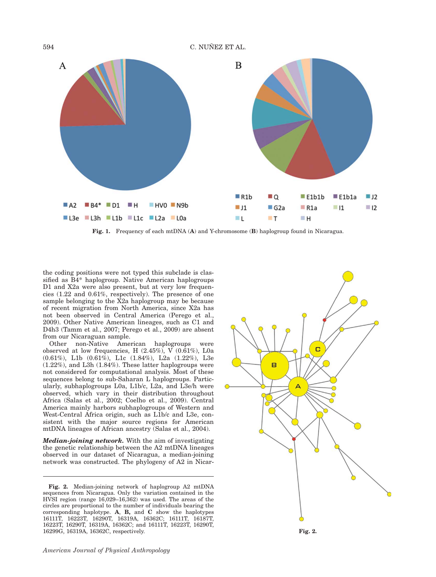594 C. NUÑEZ ET AL.



Fig. 1. Frequency of each mtDNA (A) and Y-chromosome (B) haplogroup found in Nicaragua.

the coding positions were not typed this subclade is classified as B4\* haplogroup. Native American haplogroups D1 and X2a were also present, but at very low frequencies (1.22 and 0.61%, respectively). The presence of one sample belonging to the X2a haplogroup may be because of recent migration from North America, since X2a has not been observed in Central America (Perego et al., 2009). Other Native American lineages, such as C1 and D4h3 (Tamm et al., 2007; Perego et al., 2009) are absent from our Nicaraguan sample.

Other non-Native American haplogroups were observed at low frequencies, H (2.45%), V (0.61%), L0a (0.61%), L1b (0.61%), L1c (1.84%), L2a (1.22%), L3e (1.22%), and L3h (1.84%). These latter haplogroups were not considered for computational analysis. Most of these sequences belong to sub-Saharan L haplogroups. Particularly, subhaplogroups L0a, L1b/c, L2a, and L3e/h were observed, which vary in their distribution throughout Africa (Salas et al., 2002; Coelho et al., 2009). Central America mainly harbors subhaplogroups of Western and West-Central Africa origin, such as L1b/c and L3e, consistent with the major source regions for American mtDNA lineages of African ancestry (Salas et al., 2004).

Median-joining network. With the aim of investigating the genetic relationship between the A2 mtDNA lineages observed in our dataset of Nicaragua, a median-joining network was constructed. The phylogeny of A2 in Nicar-

Fig. 2. Median-joining network of haplogroup A2 mtDNA sequences from Nicaragua. Only the variation contained in the HVSI region (range 16,029–16,362) was used. The areas of the circles are proportional to the number of individuals bearing the corresponding haplotype. A, B, and C show the haplotypes 16111T, 16223T, 16290T, 16319A, 16362C; 16111T, 16187T, 16223T, 16290T, 16319A, 16362C; and 16111T, 16223T, 16290T, 16299G, 16319A, 16362C, respectively.

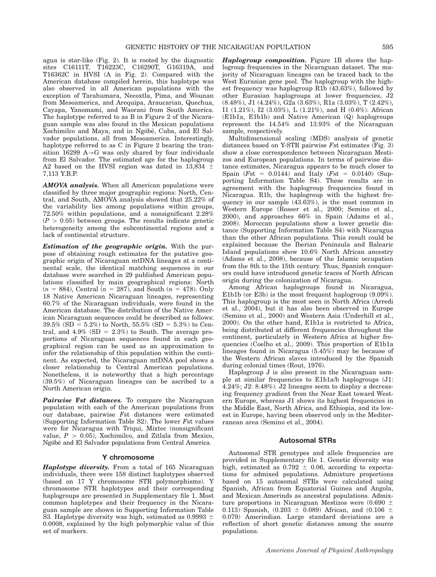agua is star-like (Fig. 2). It is rooted by the diagnostic sites C16111T, T16223C, C16290T, G16319A, and T16362C in HVSI (A in Fig. 2). Compared with the American database compiled herein, this haplotype was also observed in all American populations with the exception of Tarahumara, Necoxtla, Pima, and Wounan from Mesoamerica, and Arequipa, Araucarian, Quechua, Cayapa, Yanomami, and Waorani from South America. The haplotype referred to as B in Figure 2 of the Nicaraguan sample was also found in the Mexican populations Xochimilco and Maya, and in Ngöbé, Cuba, and El Salvador populations, all from Mesoamerica. Interestingly, haplotype referred to as C in Figure 2 bearing the transition 16299  $A \rightarrow G$  was only shared by four individuals from El Salvador. The estimated age for the haplogroup A2 based on the HVSI region was dated in  $13,834 \pm 1$ 7,113 Y.B.P.

AMOVA analysis. When all American populations were classified by three major geographic regions: North, Central, and South, AMOVA analysis showed that 25.22% of the variability lies among populations within groups, 72.50% within populations, and a nonsignificant 2.28%  $(P > 0.05)$  between groups. The results indicate genetic heterogeneity among the subcontinental regions and a lack of continental structure.

Estimation of the geographic origin. With the purpose of obtaining rough estimates for the putative geographic origin of Nicaraguan mtDNA lineages at a continental scale, the identical matching sequences in our database were searched in 29 published American populations classified by main geographical regions: North  $(n = 884)$ , Central  $(n = 287)$ , and South  $(n = 478)$ . Only 18 Native American Nicaraguan lineages, representing 60.7% of the Nicaraguan individuals, were found in the American database. The distribution of the Native American Nicaraguan sequences could be described as follows:  $39.5\%$  (SD = 5.2%) to North, 55.5% (SD = 5.3%) to Central, and  $4.9\%$  (SD = 2.3%) to South. The average proportions of Nicaraguan sequences found in each geographical region can be used as an approximation to infer the relationship of this population within the continent. As expected, the Nicaraguan mtDNA pool shows a closer relationship to Central American populations. Nonetheless, it is noteworthy that a high percentage (39.5%) of Nicaraguan lineages can be ascribed to a North American origin.

Pairwise Fst distances. To compare the Nicaraguan population with each of the American populations from our database, pairwise Fst distances were estimated (Supporting Information Table S2). The lower Fst values were for Nicaragua with Triqui, Mixtec (nonsignificant value,  $P > 0.05$ ), Xochimilco, and Zitlala from Mexico, Ngöbé and El Salvador populations from Central America.

# Y chromosome

Haplotype diversity. From a total of 165 Nicaraguan individuals, there were 158 distinct haplotypes observed (based on 17 Y chromosome STR polymorphisms). Y chromosome STR haplotypes and their corresponding haplogroups are presented in Supplementary file 1. Most common haplotypes and their frequency in the Nicaraguan sample are shown in Supporting Information Table S3. Haplotype diversity was high, estimated as  $0.9993 \pm$ 0.0008, explained by the high polymorphic value of this set of markers.

Haplogroup composition. Figure 1B shows the haplogroup frequencies in the Nicaraguan dataset. The majority of Nicaraguan lineages can be traced back to the West Eurasian gene pool. The haplogroup with the highest frequency was haplogroup R1b (43.63%), followed by other Eurasian haplogroups at lower frequencies, J2 (8.48%), J1 (4.24%), G2a (3.63%), R1a (3.03%), T (2.42%), I1 (1.21%), I2 (3.03%), L (1.21%), and H (0.6%). African (E1b1a, E1b1b) and Native American (Q) haplogroups represent the 14.54% and 13.93% of the Nicaraguan sample, respectively.

Multidimensional scaling (MDS) analysis of genetic distances based on Y-STR pairwise  $F$ st estimates (Fig. 3) show a close correspondence between Nicaraguan Mestizos and European populations. In terms of pairwise distance estimates, Nicaragua appears to be much closer to Spain ( $Fst = 0.0144$ ) and Italy ( $Fst = 0.0140$ ) (Supporting Information Table S4). These results are in agreement with the haplogroup frequencies found in Nicaragua. R1b, the haplogroup with the highest frequency in our sample (43.63%), is the most common in Western Europe (Rosser et al., 2000; Semino et al., 2000), and approaches 66% in Spain (Adams et al., 2008). Moroccan populations show a lower genetic distance (Supporting Information Table S4) with Nicaragua than the other African populations. This result could be explained because the Iberian Peninsula and Balearic Island populations show 10.6% North African ancestry (Adams et al., 2008), because of the Islamic occupation from the 8th to the 15th century. Thus, Spanish conquerors could have introduced genetic traces of North African origin during the colonization of Nicaragua.

Among African haplogroups found in Nicaragua, E1b1b (or E3b) is the most frequent haplogroup (9.09%). This haplogroup is the most seen in North Africa (Arredi et al., 2004), but it has also been observed in Europe (Semino et al., 2000) and Western Asia (Underhill et al., 2000). On the other hand, E1b1a is restricted to Africa, being distributed at different frequencies throughout the continent, particularly in Western Africa at higher frequencies (Coelho et al., 2009). This proportion of E1b1a lineages found in Nicaragua (5.45%) may be because of the Western African slaves introduced by the Spanish during colonial times (Rout, 1976).

Haplogroup J is also present in the Nicaraguan sample at similar frequencies to E1b1a/b haplogroups (J1: 4.24%; J2: 8.48%). J2 lineages seem to display a decreasing frequency gradient from the Near East toward Western Europe, whereas J1 shows its highest frequencies in the Middle East, North Africa, and Ethiopia, and its lowest in Europe, having been observed only in the Mediterranean area (Semino et al., 2004).

#### Autosomal STRs

Autosomal STR genotypes and allele frequencies are provided in Supplementary file 1. Genetic diversity was high, estimated as  $0.792 \pm 0.06$ , according to expectations for admixed populations. Admixture proportions based on 15 autosomal STRs were calculated using Spanish, African from Equatorial Guinea and Angola, and Mexican Amerinds as ancestral populations. Admixture proportions in Nicaraguan Mestizos were  $(0.690 \pm$ 0.113) Spanish, (0.203  $\pm$  0.089) African, and (0.106  $\pm$ 0.079) Amerindian. Large standard deviations are a reflection of short genetic distances among the source populations.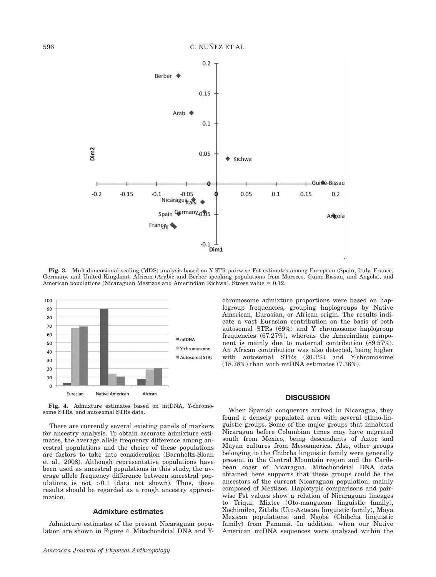

Fig. 3. Multidimensional scaling (MDS) analysis based on Y-STR pairwise Fst estimates among European (Spain, Italy, France, Germany, and United Kingdom), African (Arabic and Berber-speaking populations from Morocco, Guine´-Bissau, and Angola), and American populations (Nicaraguan Mestizos and Amerindian Kichwa). Stress value  $= 0.12$ .



Fig. 4. Admixture estimates based on mtDNA, Y-chromosome STRs, and autosomal STRs data.

There are currently several existing panels of markers for ancestry analysis. To obtain accurate admixture estimates, the average allele frequency difference among ancestral populations and the choice of these populations are factors to take into consideration (Barnholtz-Sloan et al., 2008). Although representative populations have been used as ancestral populations in this study, the average allele frequency difference between ancestral populations is not  $>0.1$  (data not shown). Thus, these results should be regarded as a rough ancestry approximation.

# Admixture estimates

Admixture estimates of the present Nicaraguan population are shown in Figure 4. Mitochondrial DNA and Y- chromosome admixture proportions were based on haplogroup frequencies, grouping haplogroups by Native American, Eurasian, or African origin. The results indicate a vast Eurasian contribution on the basis of both autosomal STRs (69%) and Y chromosome haplogroup frequencies (67.27%), whereas the Amerindian component is mainly due to maternal contribution (89.57%). An African contribution was also detected, being higher with autosomal STRs (20.3%) and Y-chromosome (18.78%) than with mtDNA estimates (7.36%).

# **DISCUSSION**

When Spanish conquerors arrived in Nicaragua, they found a densely populated area with several ethno-linguistic groups. Some of the major groups that inhabited Nicaragua before Columbian times may have migrated south from Mexico, being descendants of Aztec and Mayan cultures from Mesoamerica. Also, other groups belonging to the Chibcha linguistic family were generally present in the Central Mountain region and the Caribbean coast of Nicaragua. Mitochondrial DNA data obtained here supports that these groups could be the ancestors of the current Nicaraguan population, mainly composed of Mestizos. Haplotypic comparisons and pairwise Fst values show a relation of Nicaraguan lineages to Triqui, Mixtec (Oto-manguean linguistic family), Xochimilco, Zitlala (Uto-Aztecan linguistic family), Maya Mexican populations, and Ngobé (Chibcha linguistic family) from Panamá. In addition, when our Native American mtDNA sequences were analyzed within the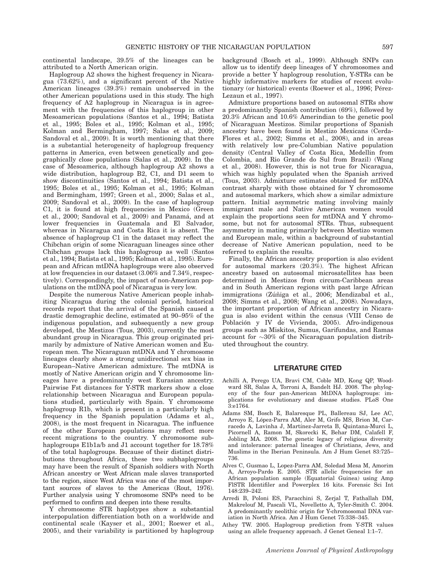continental landscape, 39.5% of the lineages can be attributed to a North American origin.

Haplogroup A2 shows the highest frequency in Nicaragua (73.62%), and a significant percent of the Native American lineages (39.3%) remain unobserved in the other American populations used in this study. The high frequency of A2 haplogroup in Nicaragua is in agreement with the frequencies of this haplogroup in other Mesoamerican populations (Santos et al., 1994; Batista et al., 1995; Boles et al., 1995; Kolman et al., 1995; Kolman and Bermingham, 1997; Salas et al., 2009; Sandoval et al., 2009). It is worth mentioning that there is a substantial heterogeneity of haplogroup frequency patterns in America, even between genetically and geographically close populations (Salas et al., 2009). In the case of Mesoamerica, although haplogroup A2 shows a wide distribution, haplogroup B2, C1, and D1 seem to show discontinuities (Santos et al., 1994; Batista et al., 1995; Boles et al., 1995; Kolman et al., 1995; Kolman and Bermingham, 1997; Green et al., 2000; Salas et al., 2009; Sandoval et al., 2009). In the case of haplogroup C1, it is found at high frequencies in Mexico (Green et al., 2000; Sandoval et al., 2009) and Panamá, and at lower frequencies in Guatemala and El Salvador, whereas in Nicaragua and Costa Rica it is absent. The absence of haplogroup C1 in the dataset may reflect the Chibchan origin of some Nicaraguan lineages since other Chibchan groups lack this haplogroup as well (Santos et al., 1994; Batista et al., 1995; Kolman et al., 1995). European and African mtDNA haplogroups were also observed at low frequencies in our dataset (3.06% and 7.34%, respectively). Correspondingly, the impact of non-American populations on the mtDNA pool of Nicaragua is very low.

Despite the numerous Native American people inhabiting Nicaragua during the colonial period, historical records report that the arrival of the Spanish caused a drastic demographic decline, estimated at 90–95% of the indigenous population, and subsequently a new group developed, the Mestizos (Tous, 2003), currently the most abundant group in Nicaragua. This group originated primarily by admixture of Native American women and European men. The Nicaraguan mtDNA and Y chromosome lineages clearly show a strong unidirectional sex bias in European–Native American admixture. The mtDNA is mostly of Native American origin and Y chromosome lineages have a predominantly west Eurasian ancestry. Pairwise Fst distances for Y-STR markers show a close relationship between Nicaragua and European populations studied, particularly with Spain. Y chromosome haplogroup R1b, which is present in a particularly high frequency in the Spanish population (Adams et al., 2008), is the most frequent in Nicaragua. The influence of the other European populations may reflect more recent migrations to the country. Y chromosome subhaplogroups E1b1a/b and J1 account together for 18.78% of the total haplogroups. Because of their distinct distributions throughout Africa, these two subhaplogroups may have been the result of Spanish soldiers with North African ancestry or West African male slaves transported to the region, since West Africa was one of the most important sources of slaves to the Americas (Rout, 1976). Further analysis using Y chromosome SNPs need to be performed to confirm and deepen into these results.

Y chromosome STR haplotypes show a substantial interpopulation differentiation both on a worldwide and continental scale (Kayser et al., 2001; Roewer et al., 2005), and their variability is partitioned by haplogroup background (Bosch et al., 1999). Although SNPs can allow us to identify deep lineages of Y chromosomes and provide a better Y haplogroup resolution, Y-STRs can be highly informative markers for studies of recent evolutionary (or historical) events (Roewer et al., 1996; Pérez-Lezaun et al., 1997).

Admixture proportions based on autosomal STRs show a predominantly Spanish contribution (69%), followed by 20.3% African and 10.6% Amerindian to the genetic pool of Nicaraguan Mestizos. Similar proportions of Spanish ancestry have been found in Mestizo Mexicans (Cerda-Flores et al., 2002; Simms et al., 2008), and in areas with relatively low pre-Columbian Native population density (Central Valley of Costa Rica, Medellin from Colombia, and Rio Grande do Sul from Brazil) (Wang et al., 2008). However, this is not true for Nicaragua, which was highly populated when the Spanish arrived (Tous, 2003). Admixture estimates obtained for mtDNA contrast sharply with those obtained for Y chromosome and autosomal markers, which show a similar admixture pattern. Initial asymmetric mating involving mainly immigrant male and Native American women would explain the proportions seen for mtDNA and Y chromosome, but not for autosomal STRs. Thus, subsequent asymmetry in mating primarily between Mestizo women and European male, within a background of substantial decrease of Native American population, need to be referred to explain the results.

Finally, the African ancestry proportion is also evident for autosomal markers (20.3%). The highest African ancestry based on autosomal microsatellites has been determined in Mestizos from circum-Caribbean areas and in South American regions with past large African immigrations (Zúñiga et al., 2006; Mendizabal et al., 2008; Simms et al., 2008; Wang et al., 2008). Nowadays, the important proportion of African ancestry in Nicaragua is also evident within the census (VIII Censo de Población y IV de Vivienda, 2005). Afro-indigenous groups such as Miskitos, Sumus, Garifundas, and Ramas account for  $\sim$ 30% of the Nicaraguan population distributed throughout the country.

# LITERATURE CITED

- Achilli A, Perego UA, Bravi CM, Coble MD, Kong QP, Woodward SR, Salas A, Torroni A, Bandelt HJ. 2008. The phylogeny of the four pan-American MtDNA haplogroups: implications for evolutionary and disease studies. PLoS One 3:e1764.
- Adams SM, Bosch E, Balaresque PL, Ballereau SJ, Lee AC, Arroyo E, López-Parra AM, Aler M, Grifo MS, Brion M, Carracedo A, Lavinha J, Martínez-Jarreta B, Quintana-Murci L, Picornell A, Ramon M, Skorecki K, Behar DM, Calafell F, Jobling MA. 2008. The genetic legacy of religious diversity and intolerance: paternal lineages of Christians, Jews, and Muslims in the Iberian Peninsula. Am J Hum Genet 83:725– 736.
- Alves C, Gusmao L, Lopez-Parra AM, Soledad Mesa M, Amorim A, Arroyo-Pardo E. 2005. STR allelic frequencies for an African population sample (Equatorial Guinea) using Amp FlSTR Identifiler and Powerplex 16 kits. Forensic Sci Int 148:239–242.
- Arredi B, Poloni ES, Paracchini S, Zerjal T, Fathallah DM, Makrelouf M, Pascali VL, Novelletto A, Tyler-Smith C. 2004. A predominantly neolithic origin for Y-chromosomal DNA variation in North Africa. Am J Hum Genet 75:338–345.
- Athey TW. 2005. Haplogroup prediction from Y-STR values using an allele frequency approach. J Genet Geneal 1:1–7.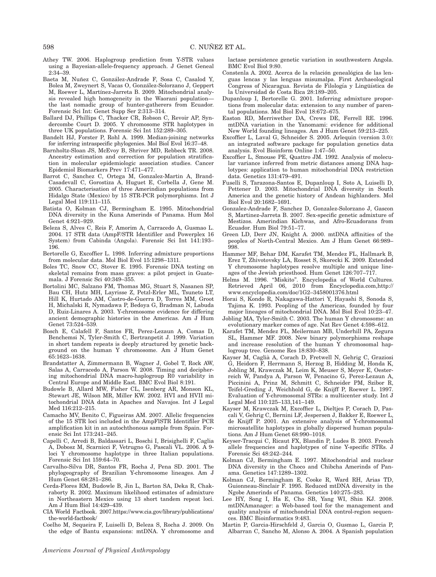- Athey TW. 2006. Haplogroup prediction from Y-STR values using a Bayesian-allele-frequency approach. J Genet Geneal 2:34–39.
- Baeta M, Nuñez C, González-Andrade F, Sosa C, Casalod Y, Bolea M, Zweynert S, Vacas O, González-Solorzano J, Geppert M, Roewer L, Martínez-Jarreta B. 2009. Mitochondrial analysis revealed high homogeneity in the Waorani population the last nomadic group of hunter-gatherers from Ecuador. Forensic Sci Int: Genet Supp Ser 2:313–314.
- Ballard DJ, Phillips C, Thacker CR, Robson C, Revoir AP, Syndercombe Court D. 2005. Y chromosome STR haplotypes in three UK populations. Forensic Sci Int 152:289–305.
- Bandelt HJ, Forster P, Rohl A. 1999. Median-joining networks for inferring intraspecific phylogenies. Mol Biol Evol 16:37–48.
- Barnholtz-Sloan JS, McEvoy B, Shriver MD, Rebbeck TR. 2008. Ancestry estimation and correction for population stratification in molecular epidemiologic association studies. Cancer Epidemiol Biomarkers Prev 17:471–477.
- Barrot C, Sanchez C, Ortega M, Gonzalez-Martin A, Brand-Casadevall C, Gorostiza A, Huguet E, Corbella J, Gene M. 2005. Characterisation of three Amerindian populations from Hidalgo State (Mexico) by 15 STR-PCR polymorphisms. Int J Legal Med 119:111–115.
- Batista O, Kolman CJ, Bermingham E. 1995. Mitochondrial DNA diversity in the Kuna Amerinds of Panama. Hum Mol Genet 4:921–929.
- Beleza S, Alves C, Reis F, Amorim A, Carracedo A, Gusmao L. 2004. 17 STR data (AmpF/STR Identifiler and Powerplex 16 System) from Cabinda (Angola). Forensic Sci Int 141:193– 196.
- Bertorelle G, Excoffier L. 1998. Inferring admixture proportions from molecular data. Mol Biol Evol 15:1298–1311.
- Boles TC, Snow CC, Stover E. 1995. Forensic DNA testing on skeletal remains from mass graves: a pilot project in Guatemala. J Forensic Sci 40:349–355.
- Bortolini MC, Salzano FM, Thomas MG, Stuart S, Nasanen SP, Bau CH, Hutz MH, Layrisse Z, Petzl-Erler ML, Tsuneto LT, Hill K, Hurtado AM, Castro-de-Guerra D, Torres MM, Groot H, Michalski R, Nymadawa P, Bedoya G, Bradman N, Labuda D, Ruiz-Linares A. 2003. Y-chromosome evidence for differing ancient demographic histories in the Americas. Am J Hum Genet 73:524–539.
- Bosch E, Calafell F, Santos FR, Perez-Lezaun A, Comas D, Benchemsi N, Tyler-Smith C, Bertranpetit J. 1999. Variation in short tandem repeats is deeply structured by genetic background on the human Y chromosome. Am J Hum Genet 65:1623–1638.
- Brandstatter A, Zimmermann B, Wagner J, Gobel T, Rock AW, Salas A, Carracedo A, Parson W. 2008. Timing and deciphering mitochondrial DNA macro-haplogroup R0 variability in Central Europe and Middle East. BMC Evol Biol 8:191.
- Budowle B, Allard MW, Fisher CL, Isenberg AR, Monson KL, Stewart JE, Wilson MR, Miller KW. 2002. HVI and HVII mitochondrial DNA data in Apaches and Navajos. Int J Legal Med 116:212–215.
- Camacho MV, Benito C, Figueiras AM. 2007. Allelic frequencies of the 15 STR loci included in the AmpFlSTR Identifiler PCR amplification kit in an autochthonous sample from Spain. Forensic Sci Int 173:241–245.
- Capelli C, Arredi B, Baldassari L, Boschi I, Brisighelli F, Caglia A, Dobosz M, Scarnicci F, Vetrugno G, Pascali VL. 2006. A 9 loci Y chromosome haplotype in three Italian populations. Forensic Sci Int 159:64–70.
- Carvalho-Silva DR, Santos FR, Rocha J, Pena SD. 2001. The phylogeography of Brazilian Y-chromosome lineages. Am J Hum Genet 68:281–286.
- Cerda-Flores RM, Budowle B, Jin L, Barton SA, Deka R, Chakraborty R. 2002. Maximum likelihood estimates of admixture in Northeastern Mexico using 13 short tandem repeat loci. Am J Hum Biol 14:429–439.
- CIA World Factbook. 2007.https://www.cia.gov/library/publications/ the-world-factbook/
- Coelho M, Sequeira F, Luiselli D, Beleza S, Rocha J. 2009. On the edge of Bantu expansions: mtDNA. Y chromosome and

lactase persistence genetic variation in southwestern Angola. BMC Evol Biol 9:80.

- Constenla A. 2002. Acerca de la relación genealógica de las lenguas lencas y las lenguas misumalpa. First Archaeological Congress of Nicaragua. Revista de Filología y Lingüística de la Universidad de Costa Rica 28:189–205.
- Dupanloup I, Bertorelle G. 2001. Inferring admixture proportions from molecular data: extension to any number of parental populations. Mol Biol Evol 18:672–675.
- Easton RD, Merriwether DA, Crews DE, Ferrell RE. 1996. mtDNA variation in the Yanomami: evidence for additional New World founding lineages. Am J Hum Genet 59:213–225.
- Excoffier L, Laval G, Schneider S. 2005. Arlequin (version 3.0): an integrated software package for population genetics data analysis. Evol Bioinform Online 1:47–50.
- Excoffier L, Smouse PE, Quattro JM. 1992. Analysis of molecular variance inferred from metric distances among DNA haplotypes: application to human mitochondrial DNA restriction data. Genetics 131:479–491.
- Fuselli S, Tarazona-Santos E, Dupanloup I, Soto A, Luiselli D, Pettener D. 2003. Mitochondrial DNA diversity in South America and the genetic history of Andean highlanders. Mol Biol Evol 20:1682–1691.
- Gonzalez-Andrade F, Sanchez D, Gonzalez-Solorzano J, Gascon S, Martinez-Jarreta B. 2007. Sex-specific genetic admixture of Mestizos. Amerindian Kichwas, and Afro-Ecuadorans from Ecuador. Hum Biol 79:51–77.
- Green LD, Derr JN, Knight A. 2000. mtDNA affinities of the peoples of North-Central Mexico. Am J Hum Genet 66:989– 998.
- Hammer MF, Behar DM, Karafet TM, Mendez FL, Hallmark B, Erez T, Zhivotovsky LA, Rosset S, Skorecki K. 2009. Extended Y chromosome haplotypes resolve multiple and unique lineages of the Jewish priesthood. Hum Genet 126:707–717.
- Helms M. 1996. "Miskito". Encyclopedia of World Cultures. Retrieved April 06, 2010 from Encyclopedia.com,http:// www.encyclopedia.com/doc/1G2–3458001376.html
- Horai S, Kondo R, Nakagawa-Hattori Y, Hayashi S, Sonoda S, Tajima K. 1993. Peopling of the Americas, founded by four major lineages of mitochondrial DNA. Mol Biol Evol 10:23–47.
- Jobling MA, Tyler-Smith C. 2003. The human Y chromosome: an evolutionary marker comes of age. Nat Rev Genet 4:598–612.
- Karafet TM, Mendez FL, Meilerman MB, Underhill PA, Zegura SL, Hammer MF. 2008. New binary polymorphisms reshape and increase resolution of the human Y chromosomal haplogroup tree. Genome Res 18:830–838.
- Kayser M, Caglia` A, Corach D, Fretwell N, Gehrig C, Graziosi G, Heidorn F, Herrmann S, Herzog B, Hidding M, Honda K, Jobling M, Krawczak M, Leim K, Meuser S, Meyer E, Oesterreich W, Pandya A, Parson W, Penacino G, Perez-Lezaun A, Piccinini A, Prinz M, Schmitt C, Schneider PM, Szibor R, Teifel-Greding J, Weichhold G, de Knijff P, Roewer L. 1997. Evaluation of Y-chromosomal STRs: a multicenter study. Int J Legal Med 110:125–133,141–149.
- Kayser M, Krawczak M, Excoffier L, Dieltjes P, Corach D, Pascali V, Gehrig C, Bernini LF, Jespersen J, Bakker E, Roewer L, de Knijff P. 2001. An extensive analysis of Y-chromosomal microsatellite haplotypes in globally dispersed human populations. Am J Hum Genet 68:990–1018.
- Keyser-Tracqui C, Ricaut FX, Blandin P, Ludes B. 2003. French allele frequencies and haplotypes of nine Y-specific STRs. J Forensic Sci 48:242–244.
- Kolman CJ, Bermingham E. 1997. Mitochondrial and nuclear DNA diversity in the Choco and Chibcha Amerinds of Panama. Genetics 147:1289–1302.
- Kolman CJ, Bermingham E, Cooke R, Ward RH, Arias TD, Guionneau-Sinclair F. 1995. Reduced mtDNA diversity in the Ngobe Amerinds of Panama. Genetics 140:275–283.
- Lee HY, Song I, Ha E, Cho SB, Yang WI, Shin KJ. 2008. mtDNAmanager: a Web-based tool for the management and quality analysis of mitochondrial DNA control-region sequences. BMC Bioinformatics 9:483.
- Martin P, Garcia-Hirschfeld J, Garcia O, Gusmao L, Garcia P, Albarran C, Sancho M, Alonso A. 2004. A Spanish population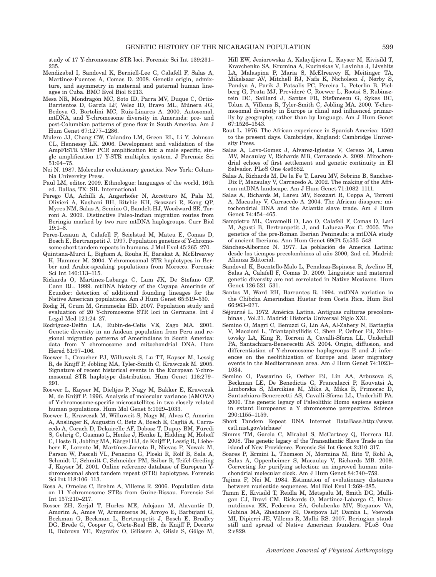study of 17 Y-chromosome STR loci. Forensic Sci Int 139:231– 235.

- Mendizabal I, Sandoval K, Berniell-Lee G, Calafell F, Salas A, Martinez-Fuentes A, Comas D. 2008. Genetic origin, admixture, and asymmetry in maternal and paternal human lineages in Cuba. BMC Evol Biol 8:213.
- Mesa NR, Mondragón MC, Soto ID, Parra MV, Duque C, Ortíz-Barrientos D, García LF, Velez ID, Bravo ML, Múnera JG, Bedoya G, Bortolini MC, Ruiz-Linares A. 2000. Autosomal, mtDNA, and Y-chromosome diversity in Amerinds: pre- and post-Columbian patterns of gene flow in South America. Am J Hum Genet 67:1277–1286.
- Mulero JJ, Chang CW, Calandro LM, Green RL, Li Y, Johnson CL, Hennessy LK. 2006. Development and validation of the AmpFlSTR Yfiler PCR amplification kit: a male specific, single amplification 17 Y-STR multiplex system. J Forensic Sci 51:64–75.
- Nei N. 1987. Molecular evolutionary genetics. New York: Columbia University Press.
- Paul LM, editor. 2009. Ethnologue: languages of the world, 16th ed. Dallas, TX: SIL International.
- Perego UA, Achilli A, Angerhofer N, Accetturo M, Pala M, Olivieri A, Kashani BH, Ritchie KH, Scozzari R, Kong QP, Myres NM, Salas A, Semino O, Bandelt HJ, Woodward SR, Torroni A. 2009. Distinctive Paleo-Indian migration routes from Beringia marked by two rare mtDNA haplogroups. Curr Biol 19:1–8.
- Perez-Lezaun A, Calafell F, Seielstad M, Mateu E, Comas D, Bosch E, Bertranpetit J. 1997. Population genetics of Y-chromosome short tandem repeats in humans. J Mol Evol 45:265–270.
- Quintana-Murci L, Bigham A, Rouba H, Barakat A, McElreavey K, Hammer M. 2004. Y-chromosomal STR haplotypes in Berber and Arabic-speaking populations from Morocco. Forensic Sci Int 140:113–115.
- Rickards O, Martinez-Labarga C, Lum JK, De Stefano GF, Cann RL. 1999. mtDNA history of the Cayapa Amerinds of Ecuador: detection of additional founding lineages for the Native American populations. Am J Hum Genet 65:519–530.
- Rodig H, Grum M, Grimmecke HD. 2007. Population study and evaluation of 20 Y-chromosome STR loci in Germans. Int J Legal Med 121:24–27.
- Rodriguez-Delfin LA, Rubin-de-Celis VE, Zago MA. 2001. Genetic diversity in an Andean population from Peru and regional migration patterns of Amerindians in South America: data from Y chromosome and mitochondrial DNA. Hum Hered 51:97–106.
- Roewer L, Croucher PJ, Willuweit S, Lu TT, Kayser M, Lessig R, de Knijff P, Jobling MA, Tyler-Smith C, Krawczak M. 2005. Signature of recent historical events in the European Y-chromosomal STR haplotype distribution. Hum Genet 116:279– 291.
- Roewer L, Kayser M, Dieltjes P, Nagy M, Bakker E, Krawczak M, de Knijff P. 1996. Analysis of molecular variance (AMOVA) of Y-chromosome-specific microsatellites in two closely related human populations. Hum Mol Genet 5:1029–1033.
- Roewer L, Krawczak M, Willuweit S, Nagy M, Alves C, Amorim A, Anslinger K, Augustin C, Betz A, Bosch E, Caglia´ A, Carracedo A, Corach D, Dekairelle AF, Dobosz T, Dupuy BM, Füredi S, Gehrig C, Gusmaö L, Henke J, Henke L, Hidding M, Hohoff C, Hoste B, Jobling MA, Kärgel HJ, de Knijff P, Lessig R, Liebeherr E, Lorente M, Martínez-Jarreta B, Nievas P, Nowak M, Parson W, Pascali VL, Penacino G, Ploski R, Rolf B, Sala A, Schmidt U, Schmitt C, Schneider PM, Szibor R, Teifel-Greding J, Kayser M. 2001. Online reference database of European Ychromosomal short tandem repeat (STR) haplotypes. Forensic Sci Int 118:106–113.
- Rosa A, Ornelas C, Brehm A, Villems R. 2006. Population data on 11 Y-chromosome STRs from Guine-Bissau. Forensic Sci Int 157:210–217.
- Rosser ZH, Zerjal T, Hurles ME, Adojaan M, Alavantic D, Amorim A, Amos W, Armenteros M, Arroyo E, Barbujani G, Beckman G, Beckman L, Bertranpetit J, Bosch E, Bradley DG, Brede G, Cooper G, Coˆrte-Real HB, de Knijff P, Decorte R, Dubrova YE, Evgrafov O, Gilissen A, Glisic S, Gölge M,

Hill EW, Jeziorowska A, Kalaydjieva L, Kayser M, Kivisild T, Kravchenko SA, Krumina A, Kucinskas V, Lavinha J, Livshits LA, Malaspina P, Maria S, McElreavey K, Meitinger TA, Mikelsaar AV, Mitchell RJ, Nafa K, Nicholson J, Nørby S, Pandya A, Parik J, Patsalis PC, Pereira L, Peterlin B, Pielberg G, Prata MJ, Previderé C, Roewer L, Rootsi S, Rubinsztein DC, Saillard J, Santos FR, Stefanescu G, Sykes BC, Tolun A, Villems R, Tyler-Smith C, Jobling MA. 2000. Y-chromosomal diversity in Europe is clinal and influenced primarily by geography, rather than by language. Am J Hum Genet  $67.1526 - 1543$ 

- Rout L. 1976. The African experience in Spanish America: 1502 to the present days. Cambridge, England: Cambridge University Press.
- Salas A, Lovo-Gomez J, Alvarez-Iglesias V, Cerezo M, Lareu MV, Macaulay V, Richards MB, Carracedo A. 2009. Mitochondrial echoes of first settlement and genetic continuity in El Salvador. PLoS One 4:e6882.
- Salas A, Richards M, De la Fe T, Lareu MV, Sobrino B, Sanchez-Diz P, Macaulay V, Carracedo A. 2002. The making of the African mtDNA landscape. Am J Hum Genet 71:1082–1111.
- Salas A, Richards M, Lareu MV, Scozzari R, Coppa A, Torroni A, Macaulay V, Carracedo A. 2004. The African diaspora: mitochondrial DNA and the Atlantic slave trade. Am J Hum Genet 74:454–465.
- Sampietro ML, Caramelli D, Lao O, Calafell F, Comas D, Lari M, Agusti B, Bertranpetit J, and Lalueza-Fox C. 2005. The genetics of the pre-Roman Iberian Peninsula: a mtDNA study of ancient Iberians. Ann Hum Genet 69(Pt 5):535–548.
- Sánchez-Albornoz N. 1977. La población de America Latina: desde los tiempos precolombinos al año 2000, 2nd ed. Madrid: Alianza Editorial.
- Sandoval K, Buentello-Malo L, Penaloza-Espinosa R, Avelino H, Salas A, Calafell F, Comas D. 2009. Linguistic and maternal genetic diversity are not correlated in Native Mexicans. Hum Genet 126:521–531.
- Santos M, Ward RH, Barrantes R. 1994. mtDNA variation in the Chibcha Amerindian Huetar from Costa Rica. Hum Biol 66:963–977.
- Séjourné L. 1972. América Latina. Antiguas culturas precolombinas , Vol.21. Madrid: Historia Universal Siglo XXI.
- Semino O, Magri C, Benuzzi G, Lin AA, Al-Zahery N, Battaglia V, Maccioni L, Triantaphyllidis C, Shen P, Oefner PJ, Zhivotovsky LA, King R, Torroni A, Cavalli-Sforza LL, Underhill PA, Santachiara-Benerecetti AS. 2004. Origin, diffusion, and differentiation of Y-chromosome haplogroups E and J: inferences on the neolithization of Europe and later migratory events in the Mediterranean area. Am J Hum Genet 74:1023– 1034.
- Semino O, Passarino G, Oefner PJ, Lin AA, Arbuzova S, Beckman LE, De Benedictis G, Francalacci P, Kouvatsi A, Limborska S, Marcikiae M, Mika A, Mika B, Primorac D, Santachiara-Benerecetti AS, Cavalli-Sforza LL, Underhill PA. 2000. The genetic legacy of Paleolithic Homo sapiens sapiens in extant Europeans: a Y chromosome perspective. Science 290:1155–1159.
- Short Tandem Repeat DNA Internet DataBase.http://www. cstl.nist.gov/strbase/
- Simms TM, Garcia C, Mirabal S, McCartney Q, Herrera RJ. 2008. The genetic legacy of the Transatlantic Slave Trade in the island of New Providence. Forensic Sci Int Genet 2:310–317.
- Soares P, Ermini L, Thomson N, Mormina M, Rito T, Rohl A, Salas A, Oppenheimer S, Macaulay V, Richards MB. 2009. Correcting for purifying selection: an improved human mitochondrial molecular clock. Am J Hum Genet 84:740–759.
- Tajima F, Nei M. 1984. Estimation of evolutionary distances between nucleotide sequences. Mol Biol Evol 1:269–285.
- Tamm E, Kivisild T, Reidla M, Metspalu M, Smith DG, Mulligan CJ, Bravi CM, Rickards O, Martinez-Labarga C, Khusnutdinova EK, Fedorova SA, Golubenko MV, Stepanov VA, Gubina MA, Zhadanov SI, Ossipova LP, Damba L, Voevoda MI, Dipierri JE, Villems R, Malhi RS. 2007. Beringian standstill and spread of Native American founders. PLoS One 2:e829.